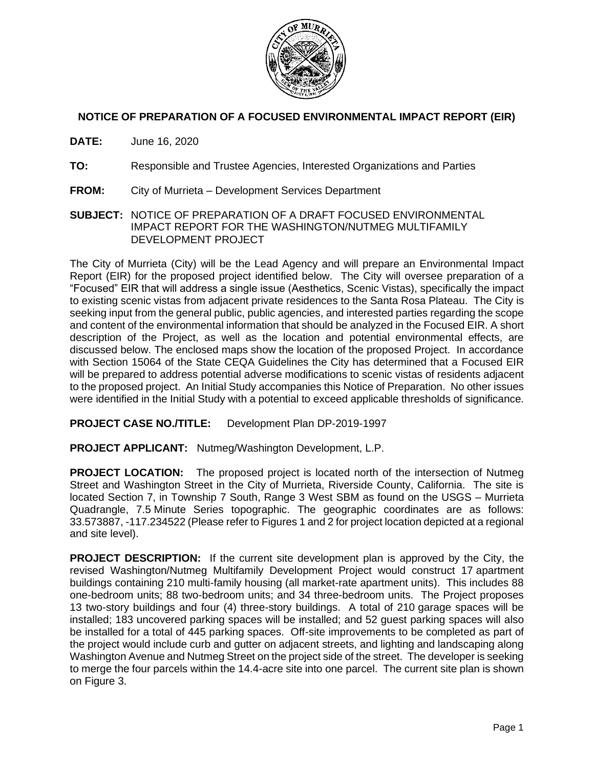

## **NOTICE OF PREPARATION OF A FOCUSED ENVIRONMENTAL IMPACT REPORT (EIR)**

**DATE:** June 16, 2020

- **TO:** Responsible and Trustee Agencies, Interested Organizations and Parties
- **FROM:** City of Murrieta Development Services Department
- **SUBJECT:** NOTICE OF PREPARATION OF A DRAFT FOCUSED ENVIRONMENTAL IMPACT REPORT FOR THE WASHINGTON/NUTMEG MULTIFAMILY DEVELOPMENT PROJECT

The City of Murrieta (City) will be the Lead Agency and will prepare an Environmental Impact Report (EIR) for the proposed project identified below. The City will oversee preparation of a "Focused" EIR that will address a single issue (Aesthetics, Scenic Vistas), specifically the impact to existing scenic vistas from adjacent private residences to the Santa Rosa Plateau. The City is seeking input from the general public, public agencies, and interested parties regarding the scope and content of the environmental information that should be analyzed in the Focused EIR. A short description of the Project, as well as the location and potential environmental effects, are discussed below. The enclosed maps show the location of the proposed Project. In accordance with Section 15064 of the State CEQA Guidelines the City has determined that a Focused EIR will be prepared to address potential adverse modifications to scenic vistas of residents adjacent to the proposed project. An Initial Study accompanies this Notice of Preparation. No other issues were identified in the Initial Study with a potential to exceed applicable thresholds of significance.

**PROJECT CASE NO./TITLE:** Development Plan DP-2019-1997

**PROJECT APPLICANT:** Nutmeg/Washington Development, L.P.

**PROJECT LOCATION:** The proposed project is located north of the intersection of Nutmeg Street and Washington Street in the City of Murrieta, Riverside County, California. The site is located Section 7, in Township 7 South, Range 3 West SBM as found on the USGS – Murrieta Quadrangle, 7.5 Minute Series topographic. The geographic coordinates are as follows: 33.573887, -117.234522 (Please refer to Figures 1 and 2 for project location depicted at a regional and site level).

**PROJECT DESCRIPTION:** If the current site development plan is approved by the City, the revised Washington/Nutmeg Multifamily Development Project would construct 17 apartment buildings containing 210 multi-family housing (all market-rate apartment units). This includes 88 one-bedroom units; 88 two-bedroom units; and 34 three-bedroom units. The Project proposes 13 two-story buildings and four (4) three-story buildings. A total of 210 garage spaces will be installed; 183 uncovered parking spaces will be installed; and 52 guest parking spaces will also be installed for a total of 445 parking spaces. Off-site improvements to be completed as part of the project would include curb and gutter on adjacent streets, and lighting and landscaping along Washington Avenue and Nutmeg Street on the project side of the street. The developer is seeking to merge the four parcels within the 14.4-acre site into one parcel. The current site plan is shown on Figure 3.